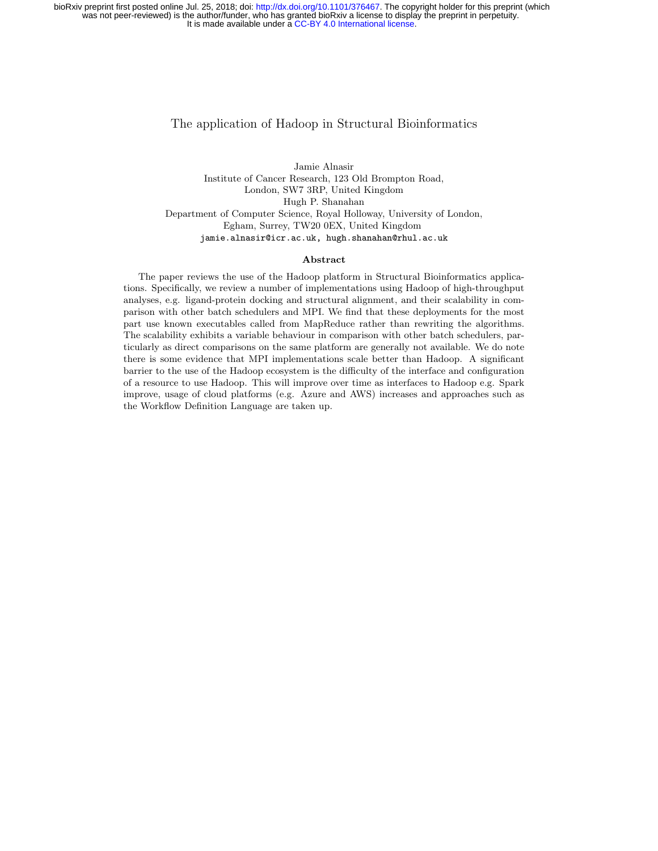#### The application of Hadoop in Structural Bioinformatics

Jamie Alnasir Institute of Cancer Research, 123 Old Brompton Road, London, SW7 3RP, United Kingdom Hugh P. Shanahan Department of Computer Science, Royal Holloway, University of London, Egham, Surrey, TW20 0EX, United Kingdom jamie.alnasir@icr.ac.uk, hugh.shanahan@rhul.ac.uk

#### Abstract

The paper reviews the use of the Hadoop platform in Structural Bioinformatics applications. Specifically, we review a number of implementations using Hadoop of high-throughput analyses, e.g. ligand-protein docking and structural alignment, and their scalability in comparison with other batch schedulers and MPI. We find that these deployments for the most part use known executables called from MapReduce rather than rewriting the algorithms. The scalability exhibits a variable behaviour in comparison with other batch schedulers, particularly as direct comparisons on the same platform are generally not available. We do note there is some evidence that MPI implementations scale better than Hadoop. A significant barrier to the use of the Hadoop ecosystem is the difficulty of the interface and configuration of a resource to use Hadoop. This will improve over time as interfaces to Hadoop e.g. Spark improve, usage of cloud platforms (e.g. Azure and AWS) increases and approaches such as the Workflow Definition Language are taken up.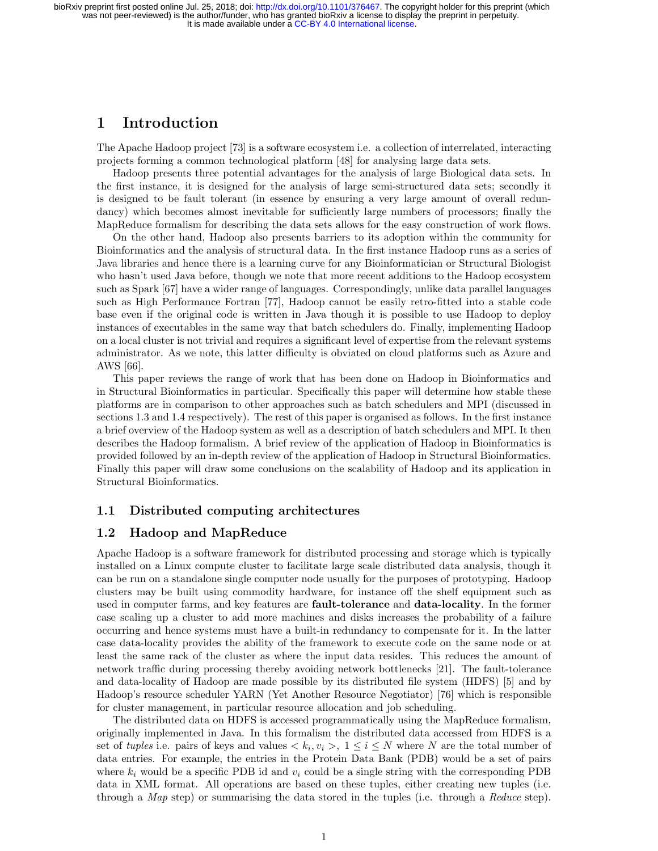# 1 Introduction

The Apache Hadoop project [73] is a software ecosystem i.e. a collection of interrelated, interacting projects forming a common technological platform [48] for analysing large data sets.

Hadoop presents three potential advantages for the analysis of large Biological data sets. In the first instance, it is designed for the analysis of large semi-structured data sets; secondly it is designed to be fault tolerant (in essence by ensuring a very large amount of overall redundancy) which becomes almost inevitable for sufficiently large numbers of processors; finally the MapReduce formalism for describing the data sets allows for the easy construction of work flows.

On the other hand, Hadoop also presents barriers to its adoption within the community for Bioinformatics and the analysis of structural data. In the first instance Hadoop runs as a series of Java libraries and hence there is a learning curve for any Bioinformatician or Structural Biologist who hasn't used Java before, though we note that more recent additions to the Hadoop ecosystem such as Spark [67] have a wider range of languages. Correspondingly, unlike data parallel languages such as High Performance Fortran [77], Hadoop cannot be easily retro-fitted into a stable code base even if the original code is written in Java though it is possible to use Hadoop to deploy instances of executables in the same way that batch schedulers do. Finally, implementing Hadoop on a local cluster is not trivial and requires a significant level of expertise from the relevant systems administrator. As we note, this latter difficulty is obviated on cloud platforms such as Azure and AWS [66].

This paper reviews the range of work that has been done on Hadoop in Bioinformatics and in Structural Bioinformatics in particular. Specifically this paper will determine how stable these platforms are in comparison to other approaches such as batch schedulers and MPI (discussed in sections 1.3 and 1.4 respectively). The rest of this paper is organised as follows. In the first instance a brief overview of the Hadoop system as well as a description of batch schedulers and MPI. It then describes the Hadoop formalism. A brief review of the application of Hadoop in Bioinformatics is provided followed by an in-depth review of the application of Hadoop in Structural Bioinformatics. Finally this paper will draw some conclusions on the scalability of Hadoop and its application in Structural Bioinformatics.

## 1.1 Distributed computing architectures

#### 1.2 Hadoop and MapReduce

Apache Hadoop is a software framework for distributed processing and storage which is typically installed on a Linux compute cluster to facilitate large scale distributed data analysis, though it can be run on a standalone single computer node usually for the purposes of prototyping. Hadoop clusters may be built using commodity hardware, for instance off the shelf equipment such as used in computer farms, and key features are **fault-tolerance** and **data-locality**. In the former case scaling up a cluster to add more machines and disks increases the probability of a failure occurring and hence systems must have a built-in redundancy to compensate for it. In the latter case data-locality provides the ability of the framework to execute code on the same node or at least the same rack of the cluster as where the input data resides. This reduces the amount of network traffic during processing thereby avoiding network bottlenecks [21]. The fault-tolerance and data-locality of Hadoop are made possible by its distributed file system (HDFS) [5] and by Hadoop's resource scheduler YARN (Yet Another Resource Negotiator) [76] which is responsible for cluster management, in particular resource allocation and job scheduling.

The distributed data on HDFS is accessed programmatically using the MapReduce formalism, originally implemented in Java. In this formalism the distributed data accessed from HDFS is a set of *tuples* i.e. pairs of keys and values  $\langle k_i, v_i \rangle$ ,  $1 \leq i \leq N$  where N are the total number of data entries. For example, the entries in the Protein Data Bank (PDB) would be a set of pairs where  $k_i$  would be a specific PDB id and  $v_i$  could be a single string with the corresponding PDB data in XML format. All operations are based on these tuples, either creating new tuples (i.e. through a Map step) or summarising the data stored in the tuples (i.e. through a Reduce step).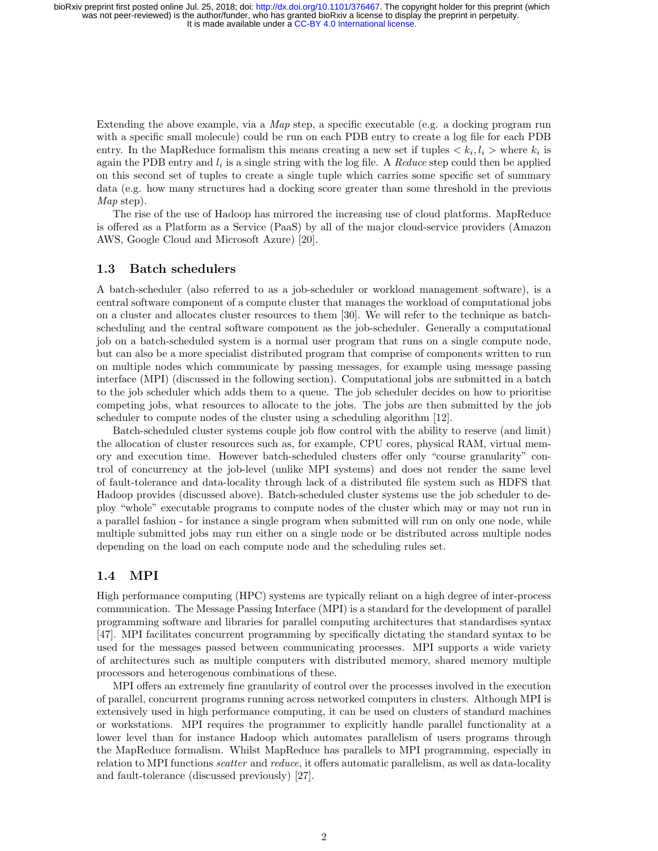Extending the above example, via a *Map* step, a specific executable (e.g. a docking program run with a specific small molecule) could be run on each PDB entry to create a log file for each PDB entry. In the MapReduce formalism this means creating a new set if tuples  $\langle k_i, l_i \rangle$  where  $k_i$  is again the PDB entry and  $l_i$  is a single string with the log file. A Reduce step could then be applied on this second set of tuples to create a single tuple which carries some specific set of summary data (e.g. how many structures had a docking score greater than some threshold in the previous Map step).

The rise of the use of Hadoop has mirrored the increasing use of cloud platforms. MapReduce is offered as a Platform as a Service (PaaS) by all of the major cloud-service providers (Amazon AWS, Google Cloud and Microsoft Azure) [20].

### 1.3 Batch schedulers

A batch-scheduler (also referred to as a job-scheduler or workload management software), is a central software component of a compute cluster that manages the workload of computational jobs on a cluster and allocates cluster resources to them [30]. We will refer to the technique as batchscheduling and the central software component as the job-scheduler. Generally a computational job on a batch-scheduled system is a normal user program that runs on a single compute node, but can also be a more specialist distributed program that comprise of components written to run on multiple nodes which communicate by passing messages, for example using message passing interface (MPI) (discussed in the following section). Computational jobs are submitted in a batch to the job scheduler which adds them to a queue. The job scheduler decides on how to prioritise competing jobs, what resources to allocate to the jobs. The jobs are then submitted by the job scheduler to compute nodes of the cluster using a scheduling algorithm [12].

Batch-scheduled cluster systems couple job flow control with the ability to reserve (and limit) the allocation of cluster resources such as, for example, CPU cores, physical RAM, virtual memory and execution time. However batch-scheduled clusters offer only "course granularity" control of concurrency at the job-level (unlike MPI systems) and does not render the same level of fault-tolerance and data-locality through lack of a distributed file system such as HDFS that Hadoop provides (discussed above). Batch-scheduled cluster systems use the job scheduler to deploy "whole" executable programs to compute nodes of the cluster which may or may not run in a parallel fashion - for instance a single program when submitted will run on only one node, while multiple submitted jobs may run either on a single node or be distributed across multiple nodes depending on the load on each compute node and the scheduling rules set.

## 1.4 MPI

High performance computing (HPC) systems are typically reliant on a high degree of inter-process communication. The Message Passing Interface (MPI) is a standard for the development of parallel programming software and libraries for parallel computing architectures that standardises syntax [47]. MPI facilitates concurrent programming by specifically dictating the standard syntax to be used for the messages passed between communicating processes. MPI supports a wide variety of architectures such as multiple computers with distributed memory, shared memory multiple processors and heterogenous combinations of these.

MPI offers an extremely fine granularity of control over the processes involved in the execution of parallel, concurrent programs running across networked computers in clusters. Although MPI is extensively used in high performance computing, it can be used on clusters of standard machines or workstations. MPI requires the programmer to explicitly handle parallel functionality at a lower level than for instance Hadoop which automates parallelism of users programs through the MapReduce formalism. Whilst MapReduce has parallels to MPI programming, especially in relation to MPI functions *scatter* and *reduce*, it offers automatic parallelism, as well as data-locality and fault-tolerance (discussed previously) [27].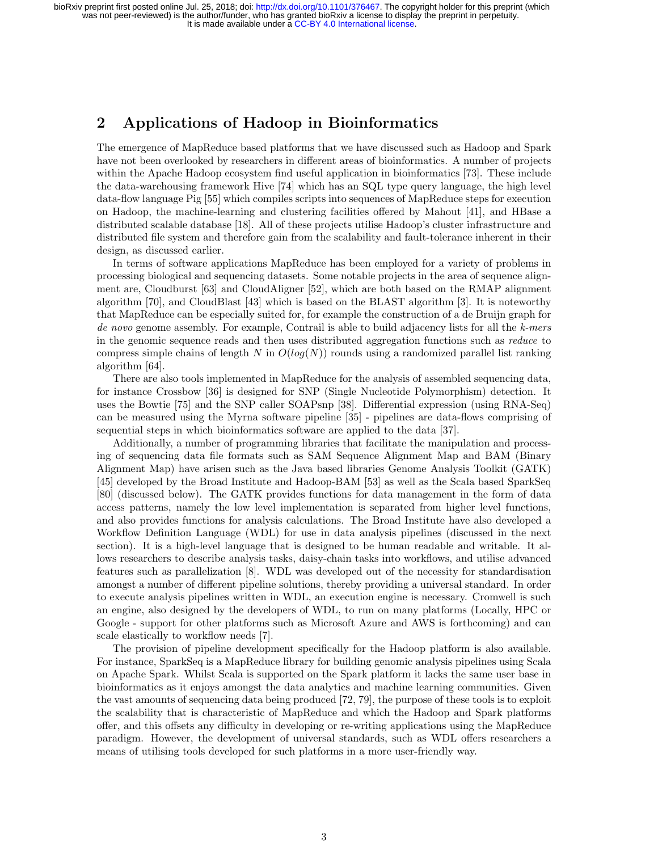# 2 Applications of Hadoop in Bioinformatics

The emergence of MapReduce based platforms that we have discussed such as Hadoop and Spark have not been overlooked by researchers in different areas of bioinformatics. A number of projects within the Apache Hadoop ecosystem find useful application in bioinformatics [73]. These include the data-warehousing framework Hive [74] which has an SQL type query language, the high level data-flow language Pig [55] which compiles scripts into sequences of MapReduce steps for execution on Hadoop, the machine-learning and clustering facilities offered by Mahout [41], and HBase a distributed scalable database [18]. All of these projects utilise Hadoop's cluster infrastructure and distributed file system and therefore gain from the scalability and fault-tolerance inherent in their design, as discussed earlier.

In terms of software applications MapReduce has been employed for a variety of problems in processing biological and sequencing datasets. Some notable projects in the area of sequence alignment are, Cloudburst [63] and CloudAligner [52], which are both based on the RMAP alignment algorithm [70], and CloudBlast [43] which is based on the BLAST algorithm [3]. It is noteworthy that MapReduce can be especially suited for, for example the construction of a de Bruijn graph for de novo genome assembly. For example, Contrail is able to build adjacency lists for all the k-mers in the genomic sequence reads and then uses distributed aggregation functions such as reduce to compress simple chains of length N in  $O(log(N))$  rounds using a randomized parallel list ranking algorithm [64].

There are also tools implemented in MapReduce for the analysis of assembled sequencing data, for instance Crossbow [36] is designed for SNP (Single Nucleotide Polymorphism) detection. It uses the Bowtie [75] and the SNP caller SOAPsnp [38]. Differential expression (using RNA-Seq) can be measured using the Myrna software pipeline [35] - pipelines are data-flows comprising of sequential steps in which bioinformatics software are applied to the data [37].

Additionally, a number of programming libraries that facilitate the manipulation and processing of sequencing data file formats such as SAM Sequence Alignment Map and BAM (Binary Alignment Map) have arisen such as the Java based libraries Genome Analysis Toolkit (GATK) [45] developed by the Broad Institute and Hadoop-BAM [53] as well as the Scala based SparkSeq [80] (discussed below). The GATK provides functions for data management in the form of data access patterns, namely the low level implementation is separated from higher level functions, and also provides functions for analysis calculations. The Broad Institute have also developed a Workflow Definition Language (WDL) for use in data analysis pipelines (discussed in the next section). It is a high-level language that is designed to be human readable and writable. It allows researchers to describe analysis tasks, daisy-chain tasks into workflows, and utilise advanced features such as parallelization [8]. WDL was developed out of the necessity for standardisation amongst a number of different pipeline solutions, thereby providing a universal standard. In order to execute analysis pipelines written in WDL, an execution engine is necessary. Cromwell is such an engine, also designed by the developers of WDL, to run on many platforms (Locally, HPC or Google - support for other platforms such as Microsoft Azure and AWS is forthcoming) and can scale elastically to workflow needs [7].

The provision of pipeline development specifically for the Hadoop platform is also available. For instance, SparkSeq is a MapReduce library for building genomic analysis pipelines using Scala on Apache Spark. Whilst Scala is supported on the Spark platform it lacks the same user base in bioinformatics as it enjoys amongst the data analytics and machine learning communities. Given the vast amounts of sequencing data being produced [72, 79], the purpose of these tools is to exploit the scalability that is characteristic of MapReduce and which the Hadoop and Spark platforms offer, and this offsets any difficulty in developing or re-writing applications using the MapReduce paradigm. However, the development of universal standards, such as WDL offers researchers a means of utilising tools developed for such platforms in a more user-friendly way.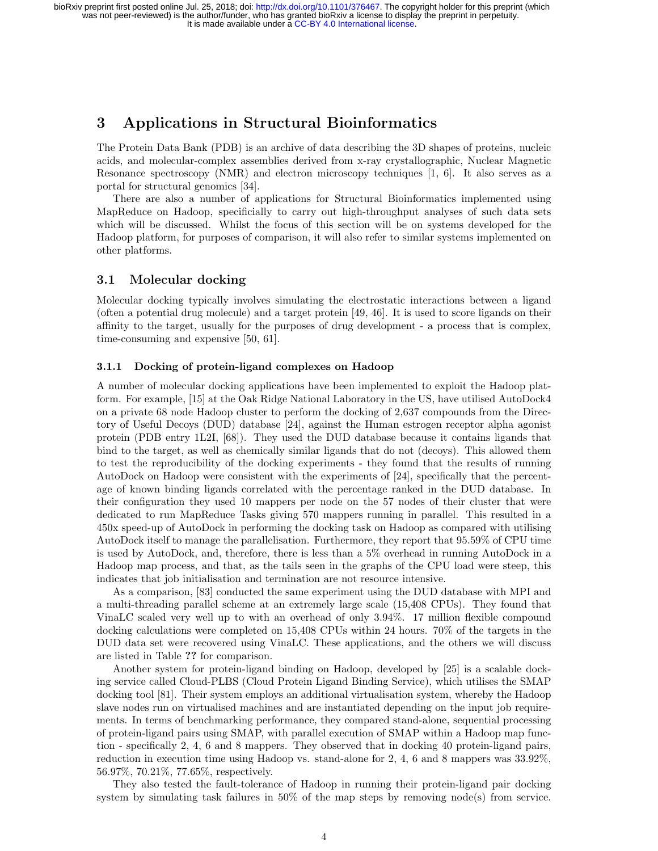# 3 Applications in Structural Bioinformatics

The Protein Data Bank (PDB) is an archive of data describing the 3D shapes of proteins, nucleic acids, and molecular-complex assemblies derived from x-ray crystallographic, Nuclear Magnetic Resonance spectroscopy (NMR) and electron microscopy techniques [1, 6]. It also serves as a portal for structural genomics [34].

There are also a number of applications for Structural Bioinformatics implemented using MapReduce on Hadoop, specificially to carry out high-throughput analyses of such data sets which will be discussed. Whilst the focus of this section will be on systems developed for the Hadoop platform, for purposes of comparison, it will also refer to similar systems implemented on other platforms.

### 3.1 Molecular docking

Molecular docking typically involves simulating the electrostatic interactions between a ligand (often a potential drug molecule) and a target protein [49, 46]. It is used to score ligands on their affinity to the target, usually for the purposes of drug development - a process that is complex, time-consuming and expensive [50, 61].

#### 3.1.1 Docking of protein-ligand complexes on Hadoop

A number of molecular docking applications have been implemented to exploit the Hadoop platform. For example, [15] at the Oak Ridge National Laboratory in the US, have utilised AutoDock4 on a private 68 node Hadoop cluster to perform the docking of 2,637 compounds from the Directory of Useful Decoys (DUD) database [24], against the Human estrogen receptor alpha agonist protein (PDB entry 1L2I, [68]). They used the DUD database because it contains ligands that bind to the target, as well as chemically similar ligands that do not (decoys). This allowed them to test the reproducibility of the docking experiments - they found that the results of running AutoDock on Hadoop were consistent with the experiments of [24], specifically that the percentage of known binding ligands correlated with the percentage ranked in the DUD database. In their configuration they used 10 mappers per node on the 57 nodes of their cluster that were dedicated to run MapReduce Tasks giving 570 mappers running in parallel. This resulted in a 450x speed-up of AutoDock in performing the docking task on Hadoop as compared with utilising AutoDock itself to manage the parallelisation. Furthermore, they report that 95.59% of CPU time is used by AutoDock, and, therefore, there is less than a 5% overhead in running AutoDock in a Hadoop map process, and that, as the tails seen in the graphs of the CPU load were steep, this indicates that job initialisation and termination are not resource intensive.

As a comparison, [83] conducted the same experiment using the DUD database with MPI and a multi-threading parallel scheme at an extremely large scale (15,408 CPUs). They found that VinaLC scaled very well up to with an overhead of only 3.94%. 17 million flexible compound docking calculations were completed on 15,408 CPUs within 24 hours. 70% of the targets in the DUD data set were recovered using VinaLC. These applications, and the others we will discuss are listed in Table ?? for comparison.

Another system for protein-ligand binding on Hadoop, developed by [25] is a scalable docking service called Cloud-PLBS (Cloud Protein Ligand Binding Service), which utilises the SMAP docking tool [81]. Their system employs an additional virtualisation system, whereby the Hadoop slave nodes run on virtualised machines and are instantiated depending on the input job requirements. In terms of benchmarking performance, they compared stand-alone, sequential processing of protein-ligand pairs using SMAP, with parallel execution of SMAP within a Hadoop map function - specifically 2, 4, 6 and 8 mappers. They observed that in docking 40 protein-ligand pairs, reduction in execution time using Hadoop vs. stand-alone for 2, 4, 6 and 8 mappers was 33.92%, 56.97%, 70.21%, 77.65%, respectively.

They also tested the fault-tolerance of Hadoop in running their protein-ligand pair docking system by simulating task failures in  $50\%$  of the map steps by removing node(s) from service.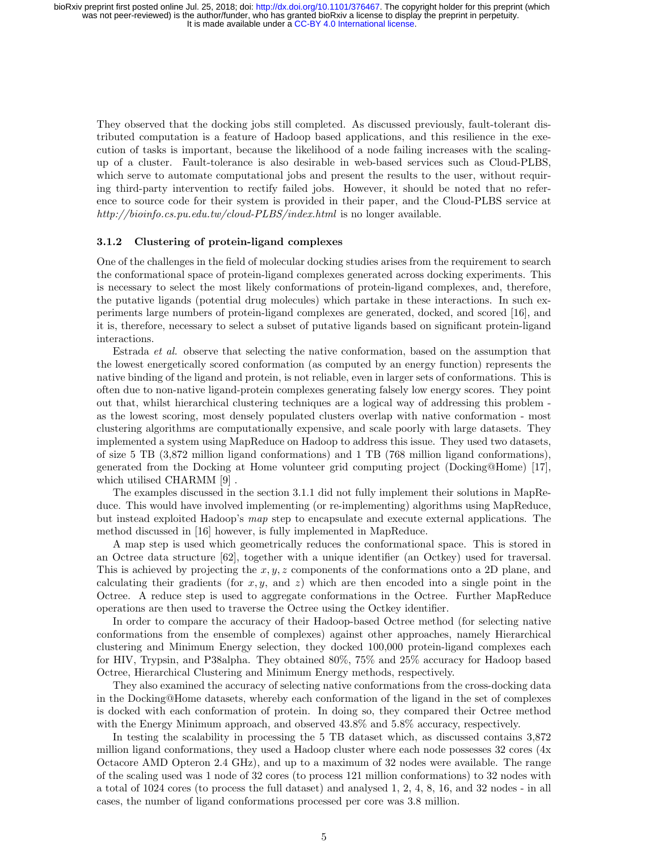They observed that the docking jobs still completed. As discussed previously, fault-tolerant distributed computation is a feature of Hadoop based applications, and this resilience in the execution of tasks is important, because the likelihood of a node failing increases with the scalingup of a cluster. Fault-tolerance is also desirable in web-based services such as Cloud-PLBS, which serve to automate computational jobs and present the results to the user, without requiring third-party intervention to rectify failed jobs. However, it should be noted that no reference to source code for their system is provided in their paper, and the Cloud-PLBS service at http://bioinfo.cs.pu.edu.tw/cloud-PLBS/index.html is no longer available.

#### 3.1.2 Clustering of protein-ligand complexes

One of the challenges in the field of molecular docking studies arises from the requirement to search the conformational space of protein-ligand complexes generated across docking experiments. This is necessary to select the most likely conformations of protein-ligand complexes, and, therefore, the putative ligands (potential drug molecules) which partake in these interactions. In such experiments large numbers of protein-ligand complexes are generated, docked, and scored [16], and it is, therefore, necessary to select a subset of putative ligands based on significant protein-ligand interactions.

Estrada et al. observe that selecting the native conformation, based on the assumption that the lowest energetically scored conformation (as computed by an energy function) represents the native binding of the ligand and protein, is not reliable, even in larger sets of conformations. This is often due to non-native ligand-protein complexes generating falsely low energy scores. They point out that, whilst hierarchical clustering techniques are a logical way of addressing this problem as the lowest scoring, most densely populated clusters overlap with native conformation - most clustering algorithms are computationally expensive, and scale poorly with large datasets. They implemented a system using MapReduce on Hadoop to address this issue. They used two datasets, of size 5 TB (3,872 million ligand conformations) and 1 TB (768 million ligand conformations), generated from the Docking at Home volunteer grid computing project (Docking@Home) [17], which utilised CHARMM [9] .

The examples discussed in the section 3.1.1 did not fully implement their solutions in MapReduce. This would have involved implementing (or re-implementing) algorithms using MapReduce, but instead exploited Hadoop's map step to encapsulate and execute external applications. The method discussed in [16] however, is fully implemented in MapReduce.

A map step is used which geometrically reduces the conformational space. This is stored in an Octree data structure [62], together with a unique identifier (an Octkey) used for traversal. This is achieved by projecting the  $x, y, z$  components of the conformations onto a 2D plane, and calculating their gradients (for  $x, y$ , and  $z$ ) which are then encoded into a single point in the Octree. A reduce step is used to aggregate conformations in the Octree. Further MapReduce operations are then used to traverse the Octree using the Octkey identifier.

In order to compare the accuracy of their Hadoop-based Octree method (for selecting native conformations from the ensemble of complexes) against other approaches, namely Hierarchical clustering and Minimum Energy selection, they docked 100,000 protein-ligand complexes each for HIV, Trypsin, and P38alpha. They obtained 80%, 75% and 25% accuracy for Hadoop based Octree, Hierarchical Clustering and Minimum Energy methods, respectively.

They also examined the accuracy of selecting native conformations from the cross-docking data in the Docking@Home datasets, whereby each conformation of the ligand in the set of complexes is docked with each conformation of protein. In doing so, they compared their Octree method with the Energy Minimum approach, and observed 43.8% and 5.8% accuracy, respectively.

In testing the scalability in processing the 5 TB dataset which, as discussed contains 3,872 million ligand conformations, they used a Hadoop cluster where each node possesses 32 cores (4x Octacore AMD Opteron 2.4 GHz), and up to a maximum of 32 nodes were available. The range of the scaling used was 1 node of 32 cores (to process 121 million conformations) to 32 nodes with a total of 1024 cores (to process the full dataset) and analysed 1, 2, 4, 8, 16, and 32 nodes - in all cases, the number of ligand conformations processed per core was 3.8 million.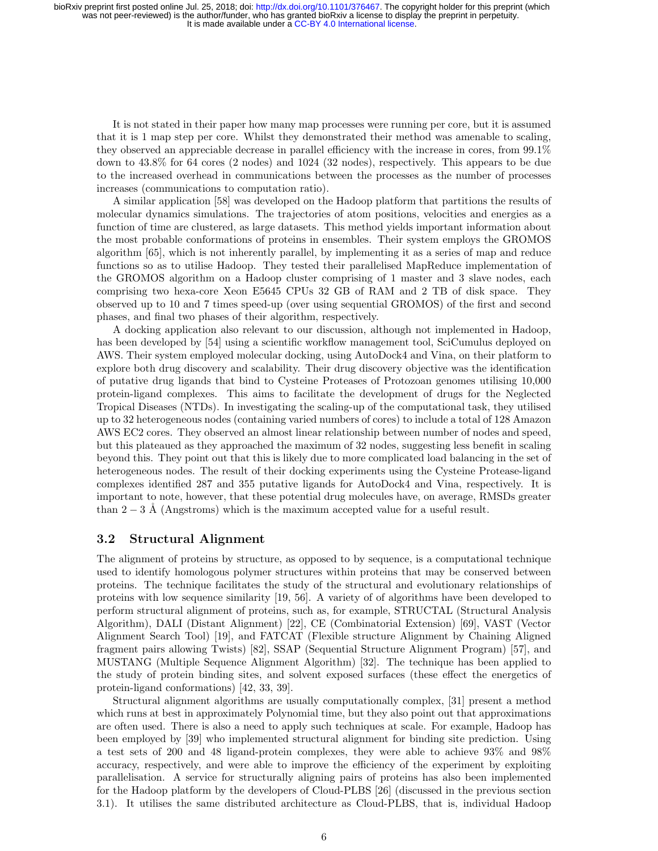It is not stated in their paper how many map processes were running per core, but it is assumed that it is 1 map step per core. Whilst they demonstrated their method was amenable to scaling, they observed an appreciable decrease in parallel efficiency with the increase in cores, from 99.1% down to 43.8% for 64 cores (2 nodes) and 1024 (32 nodes), respectively. This appears to be due to the increased overhead in communications between the processes as the number of processes increases (communications to computation ratio).

A similar application [58] was developed on the Hadoop platform that partitions the results of molecular dynamics simulations. The trajectories of atom positions, velocities and energies as a function of time are clustered, as large datasets. This method yields important information about the most probable conformations of proteins in ensembles. Their system employs the GROMOS algorithm [65], which is not inherently parallel, by implementing it as a series of map and reduce functions so as to utilise Hadoop. They tested their parallelised MapReduce implementation of the GROMOS algorithm on a Hadoop cluster comprising of 1 master and 3 slave nodes, each comprising two hexa-core Xeon E5645 CPUs 32 GB of RAM and 2 TB of disk space. They observed up to 10 and 7 times speed-up (over using sequential GROMOS) of the first and second phases, and final two phases of their algorithm, respectively.

A docking application also relevant to our discussion, although not implemented in Hadoop, has been developed by [54] using a scientific workflow management tool, SciCumulus deployed on AWS. Their system employed molecular docking, using AutoDock4 and Vina, on their platform to explore both drug discovery and scalability. Their drug discovery objective was the identification of putative drug ligands that bind to Cysteine Proteases of Protozoan genomes utilising 10,000 protein-ligand complexes. This aims to facilitate the development of drugs for the Neglected Tropical Diseases (NTDs). In investigating the scaling-up of the computational task, they utilised up to 32 heterogeneous nodes (containing varied numbers of cores) to include a total of 128 Amazon AWS EC2 cores. They observed an almost linear relationship between number of nodes and speed, but this plateaued as they approached the maximum of 32 nodes, suggesting less benefit in scaling beyond this. They point out that this is likely due to more complicated load balancing in the set of heterogeneous nodes. The result of their docking experiments using the Cysteine Protease-ligand complexes identified 287 and 355 putative ligands for AutoDock4 and Vina, respectively. It is important to note, however, that these potential drug molecules have, on average, RMSDs greater than  $2 - 3$  Å (Angstroms) which is the maximum accepted value for a useful result.

### 3.2 Structural Alignment

The alignment of proteins by structure, as opposed to by sequence, is a computational technique used to identify homologous polymer structures within proteins that may be conserved between proteins. The technique facilitates the study of the structural and evolutionary relationships of proteins with low sequence similarity [19, 56]. A variety of of algorithms have been developed to perform structural alignment of proteins, such as, for example, STRUCTAL (Structural Analysis Algorithm), DALI (Distant Alignment) [22], CE (Combinatorial Extension) [69], VAST (Vector Alignment Search Tool) [19], and FATCAT (Flexible structure Alignment by Chaining Aligned fragment pairs allowing Twists) [82], SSAP (Sequential Structure Alignment Program) [57], and MUSTANG (Multiple Sequence Alignment Algorithm) [32]. The technique has been applied to the study of protein binding sites, and solvent exposed surfaces (these effect the energetics of protein-ligand conformations) [42, 33, 39].

Structural alignment algorithms are usually computationally complex, [31] present a method which runs at best in approximately Polynomial time, but they also point out that approximations are often used. There is also a need to apply such techniques at scale. For example, Hadoop has been employed by [39] who implemented structural alignment for binding site prediction. Using a test sets of 200 and 48 ligand-protein complexes, they were able to achieve 93% and 98% accuracy, respectively, and were able to improve the efficiency of the experiment by exploiting parallelisation. A service for structurally aligning pairs of proteins has also been implemented for the Hadoop platform by the developers of Cloud-PLBS [26] (discussed in the previous section 3.1). It utilises the same distributed architecture as Cloud-PLBS, that is, individual Hadoop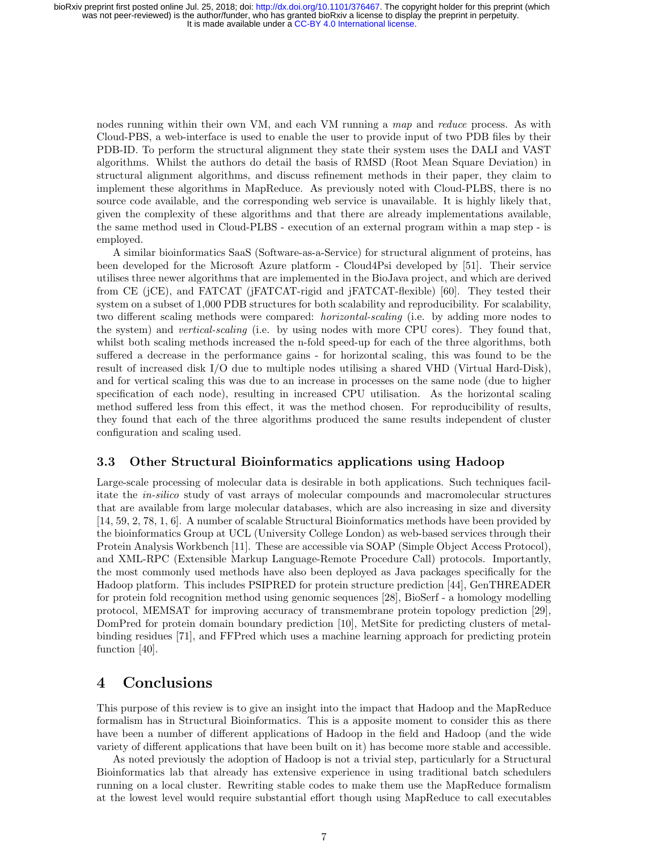nodes running within their own VM, and each VM running a map and reduce process. As with Cloud-PBS, a web-interface is used to enable the user to provide input of two PDB files by their PDB-ID. To perform the structural alignment they state their system uses the DALI and VAST algorithms. Whilst the authors do detail the basis of RMSD (Root Mean Square Deviation) in structural alignment algorithms, and discuss refinement methods in their paper, they claim to implement these algorithms in MapReduce. As previously noted with Cloud-PLBS, there is no source code available, and the corresponding web service is unavailable. It is highly likely that, given the complexity of these algorithms and that there are already implementations available, the same method used in Cloud-PLBS - execution of an external program within a map step - is employed.

A similar bioinformatics SaaS (Software-as-a-Service) for structural alignment of proteins, has been developed for the Microsoft Azure platform - Cloud4Psi developed by [51]. Their service utilises three newer algorithms that are implemented in the BioJava project, and which are derived from CE (jCE), and FATCAT (jFATCAT-rigid and jFATCAT-flexible) [60]. They tested their system on a subset of 1,000 PDB structures for both scalability and reproducibility. For scalability, two different scaling methods were compared: horizontal-scaling (i.e. by adding more nodes to the system) and *vertical-scaling* (i.e. by using nodes with more CPU cores). They found that, whilst both scaling methods increased the n-fold speed-up for each of the three algorithms, both suffered a decrease in the performance gains - for horizontal scaling, this was found to be the result of increased disk I/O due to multiple nodes utilising a shared VHD (Virtual Hard-Disk), and for vertical scaling this was due to an increase in processes on the same node (due to higher specification of each node), resulting in increased CPU utilisation. As the horizontal scaling method suffered less from this effect, it was the method chosen. For reproducibility of results, they found that each of the three algorithms produced the same results independent of cluster configuration and scaling used.

#### 3.3 Other Structural Bioinformatics applications using Hadoop

Large-scale processing of molecular data is desirable in both applications. Such techniques facilitate the in-silico study of vast arrays of molecular compounds and macromolecular structures that are available from large molecular databases, which are also increasing in size and diversity [14, 59, 2, 78, 1, 6]. A number of scalable Structural Bioinformatics methods have been provided by the bioinformatics Group at UCL (University College London) as web-based services through their Protein Analysis Workbench [11]. These are accessible via SOAP (Simple Object Access Protocol), and XML-RPC (Extensible Markup Language-Remote Procedure Call) protocols. Importantly, the most commonly used methods have also been deployed as Java packages specifically for the Hadoop platform. This includes PSIPRED for protein structure prediction [44], GenTHREADER for protein fold recognition method using genomic sequences [28], BioSerf - a homology modelling protocol, MEMSAT for improving accuracy of transmembrane protein topology prediction [29], DomPred for protein domain boundary prediction [10], MetSite for predicting clusters of metalbinding residues [71], and FFPred which uses a machine learning approach for predicting protein function [40].

## 4 Conclusions

This purpose of this review is to give an insight into the impact that Hadoop and the MapReduce formalism has in Structural Bioinformatics. This is a apposite moment to consider this as there have been a number of different applications of Hadoop in the field and Hadoop (and the wide variety of different applications that have been built on it) has become more stable and accessible.

As noted previously the adoption of Hadoop is not a trivial step, particularly for a Structural Bioinformatics lab that already has extensive experience in using traditional batch schedulers running on a local cluster. Rewriting stable codes to make them use the MapReduce formalism at the lowest level would require substantial effort though using MapReduce to call executables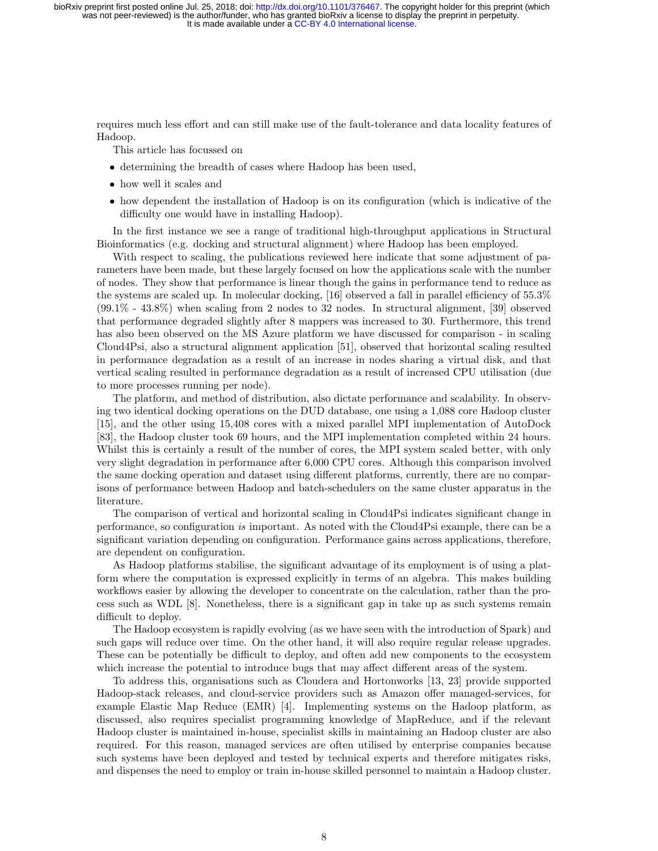requires much less effort and can still make use of the fault-tolerance and data locality features of Hadoop.

This article has focussed on

- determining the breadth of cases where Hadoop has been used,
- how well it scales and
- how dependent the installation of Hadoop is on its configuration (which is indicative of the difficulty one would have in installing Hadoop).

In the first instance we see a range of traditional high-throughput applications in Structural Bioinformatics (e.g. docking and structural alignment) where Hadoop has been employed.

With respect to scaling, the publications reviewed here indicate that some adjustment of parameters have been made, but these largely focused on how the applications scale with the number of nodes. They show that performance is linear though the gains in performance tend to reduce as the systems are scaled up. In molecular docking, [16] observed a fall in parallel efficiency of 55.3% (99.1% - 43.8%) when scaling from 2 nodes to 32 nodes. In structural alignment, [39] observed that performance degraded slightly after 8 mappers was increased to 30. Furthermore, this trend has also been observed on the MS Azure platform we have discussed for comparison - in scaling Cloud4Psi, also a structural alignment application [51], observed that horizontal scaling resulted in performance degradation as a result of an increase in nodes sharing a virtual disk, and that vertical scaling resulted in performance degradation as a result of increased CPU utilisation (due to more processes running per node).

The platform, and method of distribution, also dictate performance and scalability. In observing two identical docking operations on the DUD database, one using a 1,088 core Hadoop cluster [15], and the other using 15,408 cores with a mixed parallel MPI implementation of AutoDock [83], the Hadoop cluster took 69 hours, and the MPI implementation completed within 24 hours. Whilst this is certainly a result of the number of cores, the MPI system scaled better, with only very slight degradation in performance after 6,000 CPU cores. Although this comparison involved the same docking operation and dataset using different platforms, currently, there are no comparisons of performance between Hadoop and batch-schedulers on the same cluster apparatus in the literature.

The comparison of vertical and horizontal scaling in Cloud4Psi indicates significant change in performance, so configuration is important. As noted with the Cloud4Psi example, there can be a significant variation depending on configuration. Performance gains across applications, therefore, are dependent on configuration.

As Hadoop platforms stabilise, the significant advantage of its employment is of using a platform where the computation is expressed explicitly in terms of an algebra. This makes building workflows easier by allowing the developer to concentrate on the calculation, rather than the process such as WDL [8]. Nonetheless, there is a significant gap in take up as such systems remain difficult to deploy.

The Hadoop ecosystem is rapidly evolving (as we have seen with the introduction of Spark) and such gaps will reduce over time. On the other hand, it will also require regular release upgrades. These can be potentially be difficult to deploy, and often add new components to the ecosystem which increase the potential to introduce bugs that may affect different areas of the system.

To address this, organisations such as Cloudera and Hortonworks [13, 23] provide supported Hadoop-stack releases, and cloud-service providers such as Amazon offer managed-services, for example Elastic Map Reduce (EMR) [4]. Implementing systems on the Hadoop platform, as discussed, also requires specialist programming knowledge of MapReduce, and if the relevant Hadoop cluster is maintained in-house, specialist skills in maintaining an Hadoop cluster are also required. For this reason, managed services are often utilised by enterprise companies because such systems have been deployed and tested by technical experts and therefore mitigates risks, and dispenses the need to employ or train in-house skilled personnel to maintain a Hadoop cluster.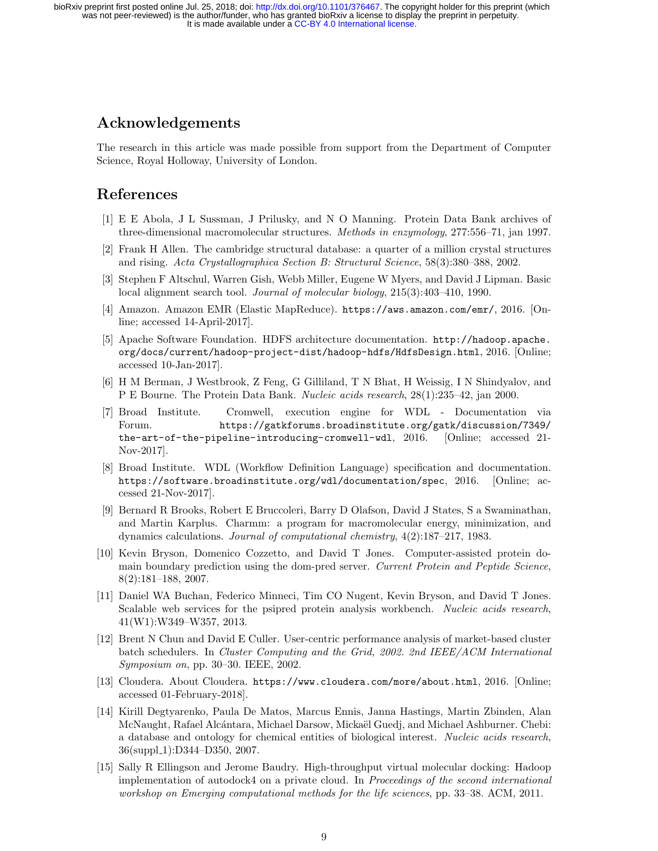# Acknowledgements

The research in this article was made possible from support from the Department of Computer Science, Royal Holloway, University of London.

# References

- [1] E E Abola, J L Sussman, J Prilusky, and N O Manning. Protein Data Bank archives of three-dimensional macromolecular structures. Methods in enzymology, 277:556–71, jan 1997.
- [2] Frank H Allen. The cambridge structural database: a quarter of a million crystal structures and rising. Acta Crystallographica Section B: Structural Science, 58(3):380–388, 2002.
- [3] Stephen F Altschul, Warren Gish, Webb Miller, Eugene W Myers, and David J Lipman. Basic local alignment search tool. Journal of molecular biology, 215(3):403–410, 1990.
- [4] Amazon. Amazon EMR (Elastic MapReduce). https://aws.amazon.com/emr/, 2016. [Online; accessed 14-April-2017].
- [5] Apache Software Foundation. HDFS architecture documentation. http://hadoop.apache. org/docs/current/hadoop-project-dist/hadoop-hdfs/HdfsDesign.html, 2016. [Online; accessed 10-Jan-2017].
- [6] H M Berman, J Westbrook, Z Feng, G Gilliland, T N Bhat, H Weissig, I N Shindyalov, and P E Bourne. The Protein Data Bank. Nucleic acids research, 28(1):235–42, jan 2000.
- [7] Broad Institute. Cromwell, execution engine for WDL Documentation via Forum. https://gatkforums.broadinstitute.org/gatk/discussion/7349/ the-art-of-the-pipeline-introducing-cromwell-wdl, 2016. [Online; accessed 21- Nov-2017].
- [8] Broad Institute. WDL (Workflow Definition Language) specification and documentation. https://software.broadinstitute.org/wdl/documentation/spec, 2016. [Online; accessed 21-Nov-2017].
- [9] Bernard R Brooks, Robert E Bruccoleri, Barry D Olafson, David J States, S a Swaminathan, and Martin Karplus. Charmm: a program for macromolecular energy, minimization, and dynamics calculations. Journal of computational chemistry, 4(2):187–217, 1983.
- [10] Kevin Bryson, Domenico Cozzetto, and David T Jones. Computer-assisted protein domain boundary prediction using the dom-pred server. Current Protein and Peptide Science, 8(2):181–188, 2007.
- [11] Daniel WA Buchan, Federico Minneci, Tim CO Nugent, Kevin Bryson, and David T Jones. Scalable web services for the psipred protein analysis workbench. Nucleic acids research, 41(W1):W349–W357, 2013.
- [12] Brent N Chun and David E Culler. User-centric performance analysis of market-based cluster batch schedulers. In Cluster Computing and the Grid, 2002. 2nd IEEE/ACM International Symposium on, pp. 30–30. IEEE, 2002.
- [13] Cloudera. About Cloudera. https://www.cloudera.com/more/about.html, 2016. [Online; accessed 01-February-2018].
- [14] Kirill Degtyarenko, Paula De Matos, Marcus Ennis, Janna Hastings, Martin Zbinden, Alan McNaught, Rafael Alcántara, Michael Darsow, Mickaël Guedj, and Michael Ashburner. Chebi: a database and ontology for chemical entities of biological interest. Nucleic acids research, 36(suppl\_1):D344-D350, 2007.
- [15] Sally R Ellingson and Jerome Baudry. High-throughput virtual molecular docking: Hadoop implementation of autodock4 on a private cloud. In Proceedings of the second international workshop on Emerging computational methods for the life sciences, pp. 33–38. ACM, 2011.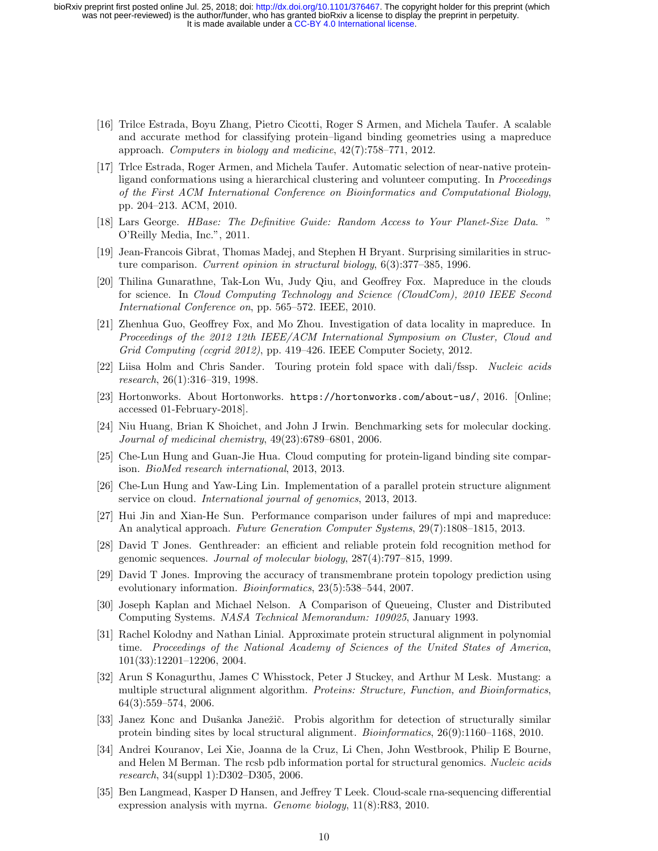- [16] Trilce Estrada, Boyu Zhang, Pietro Cicotti, Roger S Armen, and Michela Taufer. A scalable and accurate method for classifying protein–ligand binding geometries using a mapreduce approach. Computers in biology and medicine, 42(7):758–771, 2012.
- [17] Trlce Estrada, Roger Armen, and Michela Taufer. Automatic selection of near-native proteinligand conformations using a hierarchical clustering and volunteer computing. In Proceedings of the First ACM International Conference on Bioinformatics and Computational Biology, pp. 204–213. ACM, 2010.
- [18] Lars George. HBase: The Definitive Guide: Random Access to Your Planet-Size Data. " O'Reilly Media, Inc.", 2011.
- [19] Jean-Francois Gibrat, Thomas Madej, and Stephen H Bryant. Surprising similarities in structure comparison. Current opinion in structural biology, 6(3):377–385, 1996.
- [20] Thilina Gunarathne, Tak-Lon Wu, Judy Qiu, and Geoffrey Fox. Mapreduce in the clouds for science. In Cloud Computing Technology and Science (CloudCom), 2010 IEEE Second International Conference on, pp. 565–572. IEEE, 2010.
- [21] Zhenhua Guo, Geoffrey Fox, and Mo Zhou. Investigation of data locality in mapreduce. In Proceedings of the 2012 12th IEEE/ACM International Symposium on Cluster, Cloud and Grid Computing (ccgrid 2012), pp. 419–426. IEEE Computer Society, 2012.
- [22] Liisa Holm and Chris Sander. Touring protein fold space with dali/fssp. Nucleic acids research, 26(1):316–319, 1998.
- [23] Hortonworks. About Hortonworks. https://hortonworks.com/about-us/, 2016. [Online; accessed 01-February-2018].
- [24] Niu Huang, Brian K Shoichet, and John J Irwin. Benchmarking sets for molecular docking. Journal of medicinal chemistry, 49(23):6789–6801, 2006.
- [25] Che-Lun Hung and Guan-Jie Hua. Cloud computing for protein-ligand binding site comparison. BioMed research international, 2013, 2013.
- [26] Che-Lun Hung and Yaw-Ling Lin. Implementation of a parallel protein structure alignment service on cloud. International journal of genomics, 2013, 2013.
- [27] Hui Jin and Xian-He Sun. Performance comparison under failures of mpi and mapreduce: An analytical approach. Future Generation Computer Systems, 29(7):1808–1815, 2013.
- [28] David T Jones. Genthreader: an efficient and reliable protein fold recognition method for genomic sequences. Journal of molecular biology, 287(4):797–815, 1999.
- [29] David T Jones. Improving the accuracy of transmembrane protein topology prediction using evolutionary information. Bioinformatics, 23(5):538–544, 2007.
- [30] Joseph Kaplan and Michael Nelson. A Comparison of Queueing, Cluster and Distributed Computing Systems. NASA Technical Memorandum: 109025, January 1993.
- [31] Rachel Kolodny and Nathan Linial. Approximate protein structural alignment in polynomial time. Proceedings of the National Academy of Sciences of the United States of America, 101(33):12201–12206, 2004.
- [32] Arun S Konagurthu, James C Whisstock, Peter J Stuckey, and Arthur M Lesk. Mustang: a multiple structural alignment algorithm. Proteins: Structure, Function, and Bioinformatics, 64(3):559–574, 2006.
- [33] Janez Konc and Dušanka Janežič. Probis algorithm for detection of structurally similar protein binding sites by local structural alignment. Bioinformatics, 26(9):1160–1168, 2010.
- [34] Andrei Kouranov, Lei Xie, Joanna de la Cruz, Li Chen, John Westbrook, Philip E Bourne, and Helen M Berman. The rcsb pdb information portal for structural genomics. Nucleic acids research, 34(suppl 1):D302–D305, 2006.
- [35] Ben Langmead, Kasper D Hansen, and Jeffrey T Leek. Cloud-scale rna-sequencing differential expression analysis with myrna. Genome biology, 11(8):R83, 2010.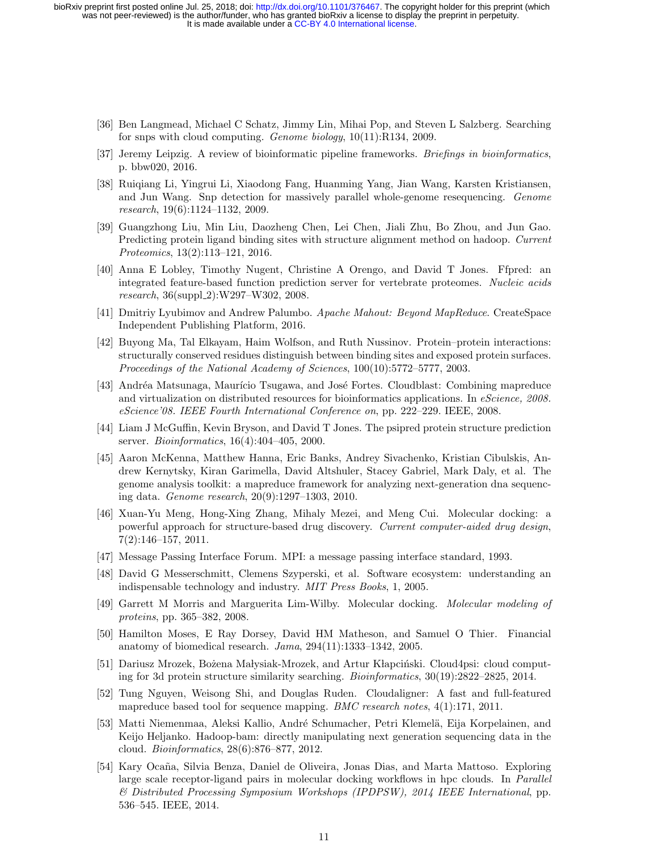- [36] Ben Langmead, Michael C Schatz, Jimmy Lin, Mihai Pop, and Steven L Salzberg. Searching for snps with cloud computing. Genome biology, 10(11):R134, 2009.
- [37] Jeremy Leipzig. A review of bioinformatic pipeline frameworks. Briefings in bioinformatics, p. bbw020, 2016.
- [38] Ruiqiang Li, Yingrui Li, Xiaodong Fang, Huanming Yang, Jian Wang, Karsten Kristiansen, and Jun Wang. Snp detection for massively parallel whole-genome resequencing. Genome research, 19(6):1124–1132, 2009.
- [39] Guangzhong Liu, Min Liu, Daozheng Chen, Lei Chen, Jiali Zhu, Bo Zhou, and Jun Gao. Predicting protein ligand binding sites with structure alignment method on hadoop. Current Proteomics, 13(2):113–121, 2016.
- [40] Anna E Lobley, Timothy Nugent, Christine A Orengo, and David T Jones. Ffpred: an integrated feature-based function prediction server for vertebrate proteomes. Nucleic acids research, 36(suppl\_2):W297-W302, 2008.
- [41] Dmitriy Lyubimov and Andrew Palumbo. Apache Mahout: Beyond MapReduce. CreateSpace Independent Publishing Platform, 2016.
- [42] Buyong Ma, Tal Elkayam, Haim Wolfson, and Ruth Nussinov. Protein–protein interactions: structurally conserved residues distinguish between binding sites and exposed protein surfaces. Proceedings of the National Academy of Sciences, 100(10):5772–5777, 2003.
- [43] Andréa Matsunaga, Maurício Tsugawa, and José Fortes. Cloudblast: Combining mapreduce and virtualization on distributed resources for bioinformatics applications. In eScience, 2008. eScience'08. IEEE Fourth International Conference on, pp. 222–229. IEEE, 2008.
- [44] Liam J McGuffin, Kevin Bryson, and David T Jones. The psipred protein structure prediction server. Bioinformatics, 16(4):404–405, 2000.
- [45] Aaron McKenna, Matthew Hanna, Eric Banks, Andrey Sivachenko, Kristian Cibulskis, Andrew Kernytsky, Kiran Garimella, David Altshuler, Stacey Gabriel, Mark Daly, et al. The genome analysis toolkit: a mapreduce framework for analyzing next-generation dna sequencing data. Genome research, 20(9):1297–1303, 2010.
- [46] Xuan-Yu Meng, Hong-Xing Zhang, Mihaly Mezei, and Meng Cui. Molecular docking: a powerful approach for structure-based drug discovery. Current computer-aided drug design, 7(2):146–157, 2011.
- [47] Message Passing Interface Forum. MPI: a message passing interface standard, 1993.
- [48] David G Messerschmitt, Clemens Szyperski, et al. Software ecosystem: understanding an indispensable technology and industry. MIT Press Books, 1, 2005.
- [49] Garrett M Morris and Marguerita Lim-Wilby. Molecular docking. Molecular modeling of proteins, pp. 365–382, 2008.
- [50] Hamilton Moses, E Ray Dorsey, David HM Matheson, and Samuel O Thier. Financial anatomy of biomedical research. Jama, 294(11):1333–1342, 2005.
- [51] Dariusz Mrozek, Bożena Małysiak-Mrozek, and Artur Kłapciński. Cloud4psi: cloud computing for 3d protein structure similarity searching. Bioinformatics, 30(19):2822–2825, 2014.
- [52] Tung Nguyen, Weisong Shi, and Douglas Ruden. Cloudaligner: A fast and full-featured mapreduce based tool for sequence mapping. *BMC research notes*,  $4(1):171, 2011$ .
- [53] Matti Niemenmaa, Aleksi Kallio, André Schumacher, Petri Klemelä, Eija Korpelainen, and Keijo Heljanko. Hadoop-bam: directly manipulating next generation sequencing data in the cloud. Bioinformatics, 28(6):876–877, 2012.
- [54] Kary Oca˜na, Silvia Benza, Daniel de Oliveira, Jonas Dias, and Marta Mattoso. Exploring large scale receptor-ligand pairs in molecular docking workflows in hpc clouds. In *Parallel* & Distributed Processing Symposium Workshops (IPDPSW), 2014 IEEE International, pp. 536–545. IEEE, 2014.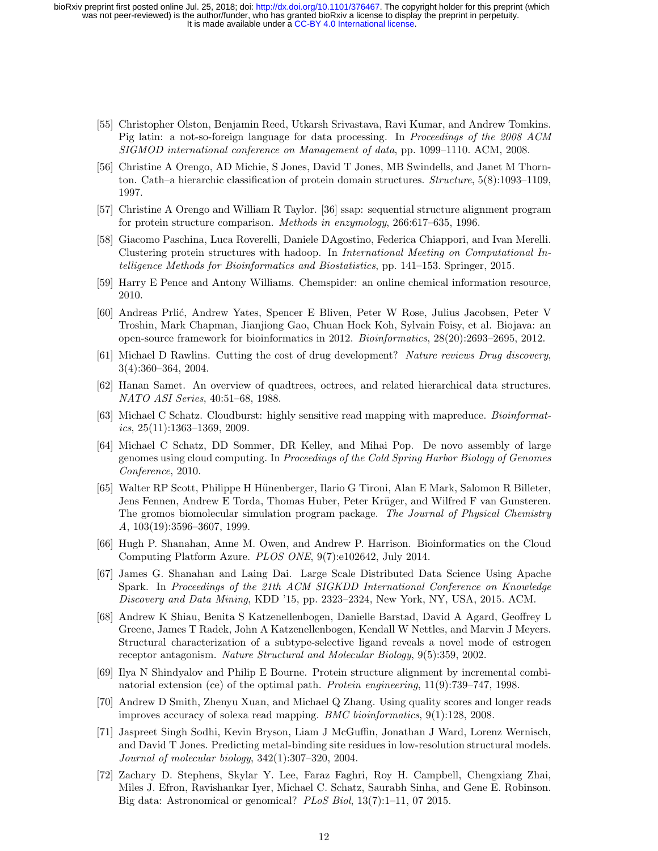- [55] Christopher Olston, Benjamin Reed, Utkarsh Srivastava, Ravi Kumar, and Andrew Tomkins. Pig latin: a not-so-foreign language for data processing. In Proceedings of the 2008 ACM SIGMOD international conference on Management of data, pp. 1099–1110. ACM, 2008.
- [56] Christine A Orengo, AD Michie, S Jones, David T Jones, MB Swindells, and Janet M Thornton. Cath–a hierarchic classification of protein domain structures. Structure, 5(8):1093–1109, 1997.
- [57] Christine A Orengo and William R Taylor. [36] ssap: sequential structure alignment program for protein structure comparison. Methods in enzymology, 266:617–635, 1996.
- [58] Giacomo Paschina, Luca Roverelli, Daniele DAgostino, Federica Chiappori, and Ivan Merelli. Clustering protein structures with hadoop. In International Meeting on Computational Intelligence Methods for Bioinformatics and Biostatistics, pp. 141–153. Springer, 2015.
- [59] Harry E Pence and Antony Williams. Chemspider: an online chemical information resource, 2010.
- [60] Andreas Prlić, Andrew Yates, Spencer E Bliven, Peter W Rose, Julius Jacobsen, Peter V Troshin, Mark Chapman, Jianjiong Gao, Chuan Hock Koh, Sylvain Foisy, et al. Biojava: an open-source framework for bioinformatics in 2012. Bioinformatics, 28(20):2693–2695, 2012.
- [61] Michael D Rawlins. Cutting the cost of drug development? Nature reviews Drug discovery, 3(4):360–364, 2004.
- [62] Hanan Samet. An overview of quadtrees, octrees, and related hierarchical data structures. NATO ASI Series, 40:51–68, 1988.
- [63] Michael C Schatz. Cloudburst: highly sensitive read mapping with mapreduce. Bioinformat $ics, 25(11):1363-1369, 2009.$
- [64] Michael C Schatz, DD Sommer, DR Kelley, and Mihai Pop. De novo assembly of large genomes using cloud computing. In Proceedings of the Cold Spring Harbor Biology of Genomes Conference, 2010.
- [65] Walter RP Scott, Philippe H H¨unenberger, Ilario G Tironi, Alan E Mark, Salomon R Billeter, Jens Fennen, Andrew E Torda, Thomas Huber, Peter Krüger, and Wilfred F van Gunsteren. The gromos biomolecular simulation program package. The Journal of Physical Chemistry A, 103(19):3596–3607, 1999.
- [66] Hugh P. Shanahan, Anne M. Owen, and Andrew P. Harrison. Bioinformatics on the Cloud Computing Platform Azure. PLOS ONE, 9(7):e102642, July 2014.
- [67] James G. Shanahan and Laing Dai. Large Scale Distributed Data Science Using Apache Spark. In Proceedings of the 21th ACM SIGKDD International Conference on Knowledge Discovery and Data Mining, KDD '15, pp. 2323–2324, New York, NY, USA, 2015. ACM.
- [68] Andrew K Shiau, Benita S Katzenellenbogen, Danielle Barstad, David A Agard, Geoffrey L Greene, James T Radek, John A Katzenellenbogen, Kendall W Nettles, and Marvin J Meyers. Structural characterization of a subtype-selective ligand reveals a novel mode of estrogen receptor antagonism. Nature Structural and Molecular Biology, 9(5):359, 2002.
- [69] Ilya N Shindyalov and Philip E Bourne. Protein structure alignment by incremental combinatorial extension (ce) of the optimal path. Protein engineering, 11(9):739–747, 1998.
- [70] Andrew D Smith, Zhenyu Xuan, and Michael Q Zhang. Using quality scores and longer reads improves accuracy of solexa read mapping. BMC bioinformatics, 9(1):128, 2008.
- [71] Jaspreet Singh Sodhi, Kevin Bryson, Liam J McGuffin, Jonathan J Ward, Lorenz Wernisch, and David T Jones. Predicting metal-binding site residues in low-resolution structural models. Journal of molecular biology, 342(1):307–320, 2004.
- [72] Zachary D. Stephens, Skylar Y. Lee, Faraz Faghri, Roy H. Campbell, Chengxiang Zhai, Miles J. Efron, Ravishankar Iyer, Michael C. Schatz, Saurabh Sinha, and Gene E. Robinson. Big data: Astronomical or genomical? PLoS Biol, 13(7):1-11, 07 2015.